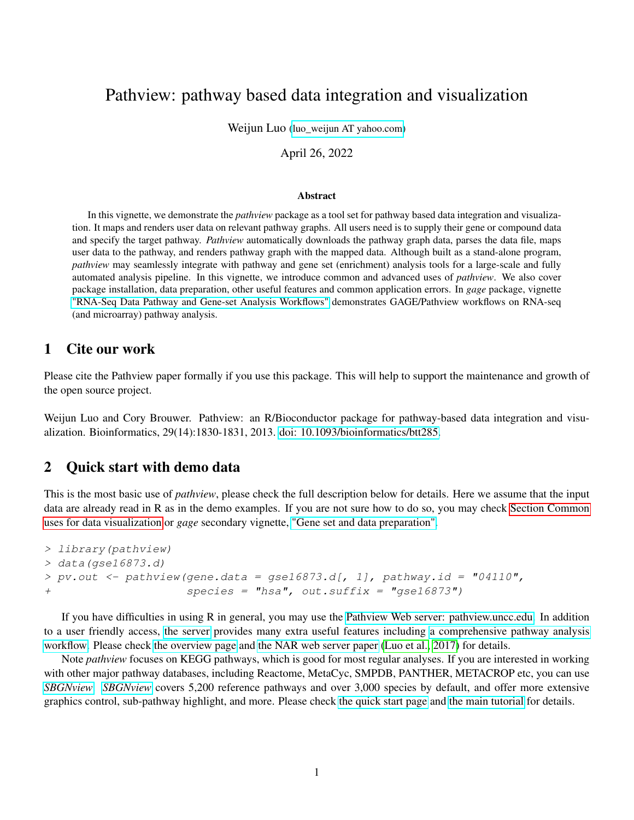# Pathview: pathway based data integration and visualization

Weijun Luo (luo weijun AT yahoo.com)

April 26, 2022

#### Abstract

In this vignette, we demonstrate the *pathview* package as a tool set for pathway based data integration and visualization. It maps and renders user data on relevant pathway graphs. All users need is to supply their gene or compound data and specify the target pathway. *Pathview* automatically downloads the pathway graph data, parses the data file, maps user data to the pathway, and renders pathway graph with the mapped data. Although built as a stand-alone program, *pathview* may seamlessly integrate with pathway and gene set (enrichment) analysis tools for a large-scale and fully automated analysis pipeline. In this vignette, we introduce common and advanced uses of *pathview*. We also cover package installation, data preparation, other useful features and common application errors. In *gage* package, vignette ["RNA-Seq Data Pathway and Gene-set Analysis Workflows"](http://bioconductor.org/packages/release/bioc/vignettes/gage/inst/doc/RNA-seqWorkflow.pdf) demonstrates GAGE/Pathview workflows on RNA-seq (and microarray) pathway analysis.

### 1 Cite our work

Please cite the Pathview paper formally if you use this package. This will help to support the maintenance and growth of the open source project.

Weijun Luo and Cory Brouwer. Pathview: an R/Bioconductor package for pathway-based data integration and visualization. Bioinformatics, 29(14):1830-1831, 2013. [doi: 10.1093/bioinformatics/btt285.](http://bioinformatics.oxfordjournals.org/content/29/14/1830.full)

### 2 Quick start with demo data

This is the most basic use of *pathview*, please check the full description below for details. Here we assume that the input data are already read in R as in the demo examples. If you are not sure how to do so, you may check [Section Common](#page-3-0) [uses for data visualization](#page-3-0) or *gage* secondary vignette, ["Gene set and data preparation".](http://bioconductor.org/packages/release/bioc/vignettes/gage/inst/doc/dataPrep.pdf)

```
> library(pathview)
> data(gse16873.d)
> pv.out < -pathview(gene.data = gse16873.d[, 1], pathway.id = "04110",+ species = "hsa", out.suffix = "gse16873")
```
If you have difficulties in using R in general, you may use the [Pathview Web server: pathview.uncc.edu.](https://pathview.uncc.edu/) In addition to a user friendly access, [the server](https://pathview.uncc.edu/) provides many extra useful features including [a comprehensive pathway analysis](https://pathview.uncc.edu/example4) [workflow.](https://pathview.uncc.edu/example4) Please check [the overview page](https://pathview.uncc.edu/overview) and [the NAR web server paper](https://academic.oup.com/nar/article-lookup/doi/10.1093/nar/gkx372) [\(Luo et al., 2017\)](#page-23-0) for details.

Note *pathview* focuses on KEGG pathways, which is good for most regular analyses. If you are interested in working with other major pathway databases, including Reactome, MetaCyc, SMPDB, PANTHER, METACROP etc, you can use *[SBGNview](https://github.com/datapplab/SBGNview)*. *[SBGNview](https://github.com/datapplab/SBGNview)* covers 5,200 reference pathways and over 3,000 species by default, and offer more extensive graphics control, sub-pathway highlight, and more. Please check [the quick start page](https://github.com/datapplab/SBGNview) and [the main tutorial](https://bioconductor.org/packages/devel/bioc/vignettes/SBGNview/inst/doc/SBGNview.Vignette.html) for details.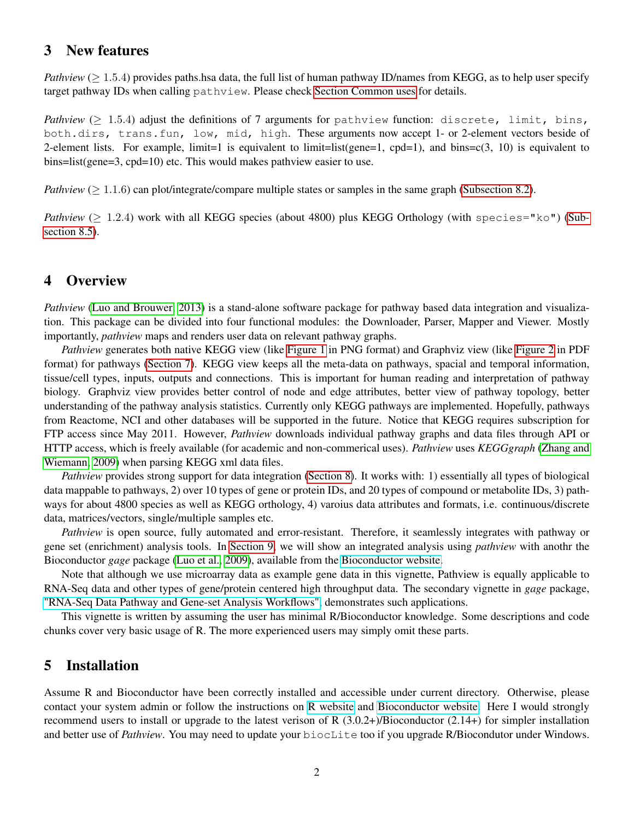### 3 New features

*Pathview* ( $> 1.5.4$ ) provides paths.hsa data, the full list of human pathway ID/names from KEGG, as to help user specify target pathway IDs when calling pathview. Please check [Section Common uses](#page-3-0) for details.

*Pathview* ( $\geq 1.5.4$ ) adjust the definitions of 7 arguments for pathview function: discrete, limit, bins, both.dirs, trans.fun, low, mid, high. These arguments now accept 1- or 2-element vectors beside of 2-element lists. For example, limit=1 is equivalent to limit=list(gene=1, cpd=1), and bins=c(3, 10) is equivalent to bins=list(gene=3, cpd=10) etc. This would makes pathview easier to use.

*Pathview* ( $> 1.1.6$ ) can plot/integrate/compare multiple states or samples in the same graph [\(Subsection 8.2\)](#page-12-0).

*Pathview* ( $> 1.2.4$ ) work with all KEGG species (about 4800) plus KEGG Orthology (with species="ko") [\(Sub](#page-18-0)[section 8.5\)](#page-18-0).

## 4 Overview

*Pathview* [\(Luo and Brouwer, 2013\)](#page-22-0) is a stand-alone software package for pathway based data integration and visualization. This package can be divided into four functional modules: the Downloader, Parser, Mapper and Viewer. Mostly importantly, *pathview* maps and renders user data on relevant pathway graphs.

*Pathview* generates both native KEGG view (like [Figure 1](#page-5-0) in PNG format) and Graphviz view (like [Figure 2](#page-6-0) in PDF format) for pathways [\(Section 7\)](#page-3-0). KEGG view keeps all the meta-data on pathways, spacial and temporal information, tissue/cell types, inputs, outputs and connections. This is important for human reading and interpretation of pathway biology. Graphviz view provides better control of node and edge attributes, better view of pathway topology, better understanding of the pathway analysis statistics. Currently only KEGG pathways are implemented. Hopefully, pathways from Reactome, NCI and other databases will be supported in the future. Notice that KEGG requires subscription for FTP access since May 2011. However, *Pathview* downloads individual pathway graphs and data files through API or HTTP access, which is freely available (for academic and non-commerical uses). *Pathview* uses *KEGGgraph* [\(Zhang and](#page-23-1) [Wiemann, 2009\)](#page-23-1) when parsing KEGG xml data files.

*Pathview* provides strong support for data integration [\(Section 8\)](#page-10-0). It works with: 1) essentially all types of biological data mappable to pathways, 2) over 10 types of gene or protein IDs, and 20 types of compound or metabolite IDs, 3) pathways for about 4800 species as well as KEGG orthology, 4) varoius data attributes and formats, i.e. continuous/discrete data, matrices/vectors, single/multiple samples etc.

*Pathview* is open source, fully automated and error-resistant. Therefore, it seamlessly integrates with pathway or gene set (enrichment) analysis tools. In [Section 9,](#page-21-0) we will show an integrated analysis using *pathview* with anothr the Bioconductor *gage* package [\(Luo et al., 2009\)](#page-22-1), available from the [Bioconductor website.](www.bioconductor.org/packages/release/bioc/html/gage.html)

Note that although we use microarray data as example gene data in this vignette, Pathview is equally applicable to RNA-Seq data and other types of gene/protein centered high throughput data. The secondary vignette in *gage* package, ["RNA-Seq Data Pathway and Gene-set Analysis Workflows",](http://bioconductor.org/packages/release/bioc/vignettes/gage/inst/doc/RNA-seqWorkflow.pdf) demonstrates such applications.

This vignette is written by assuming the user has minimal R/Bioconductor knowledge. Some descriptions and code chunks cover very basic usage of R. The more experienced users may simply omit these parts.

### 5 Installation

Assume R and Bioconductor have been correctly installed and accessible under current directory. Otherwise, please contact your system admin or follow the instructions on [R website](http://www.r-project.org/) and [Bioconductor website.](http://www.bioconductor.org/install/) Here I would strongly recommend users to install or upgrade to the latest verison of R  $(3.0.2+)$ /Bioconductor  $(2.14+)$  for simpler installation and better use of *Pathview*. You may need to update your biocLite too if you upgrade R/Biocondutor under Windows.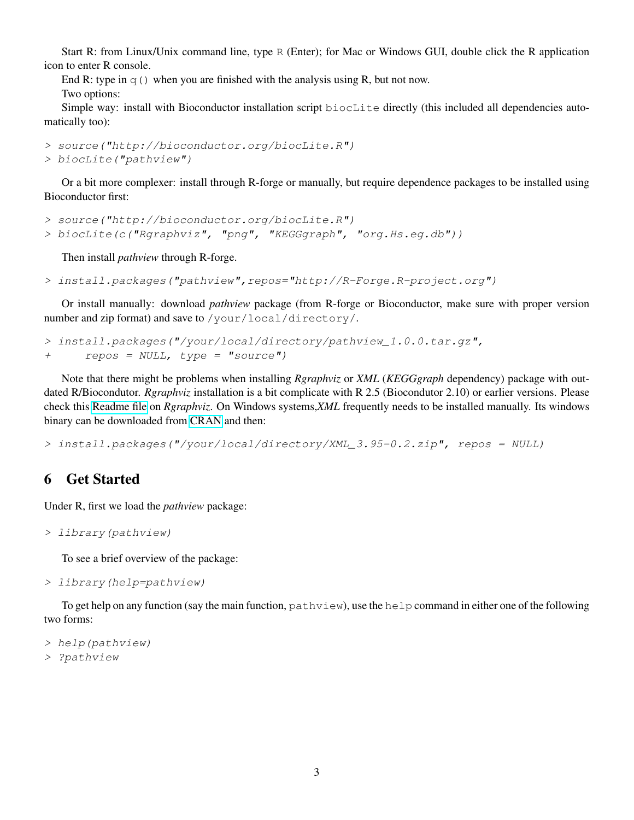Start R: from Linux/Unix command line, type R (Enter); for Mac or Windows GUI, double click the R application icon to enter R console.

End R: type in  $q()$  when you are finished with the analysis using R, but not now. Two options:

Simple way: install with Bioconductor installation script biocLite directly (this included all dependencies automatically too):

```
> source("http://bioconductor.org/biocLite.R")
> biocLite("pathview")
```
Or a bit more complexer: install through R-forge or manually, but require dependence packages to be installed using Bioconductor first:

```
> source("http://bioconductor.org/biocLite.R")
```
> biocLite(c("Rgraphviz", "png", "KEGGgraph", "org.Hs.eg.db"))

Then install *pathview* through R-forge.

```
> install.packages("pathview",repos="http://R-Forge.R-project.org")
```
Or install manually: download *pathview* package (from R-forge or Bioconductor, make sure with proper version number and zip format) and save to /your/local/directory/.

```
> install.packages("/your/local/directory/pathview_1.0.0.tar.gz",
+ repos = NULL, type = "source")
```
Note that there might be problems when installing *Rgraphviz* or *XML* (*KEGGgraph* dependency) package with outdated R/Biocondutor. *Rgraphviz* installation is a bit complicate with R 2.5 (Biocondutor 2.10) or earlier versions. Please check this [Readme file](http://pathview.r-forge.r-project.org/Rgraphviz.README) on *Rgraphviz*. On Windows systems,*XML* frequently needs to be installed manually. Its windows binary can be downloaded from [CRAN](http://cran.r-project.org/web/packages/XML/index.html) and then:

> install.packages("/your/local/directory/XML\_3.95-0.2.zip", repos = NULL)

## 6 Get Started

Under R, first we load the *pathview* package:

```
> library(pathview)
```
To see a brief overview of the package:

> library(help=pathview)

To get help on any function (say the main function,  $pathview$ ), use the help command in either one of the following two forms:

```
> help(pathview)
> ?pathview
```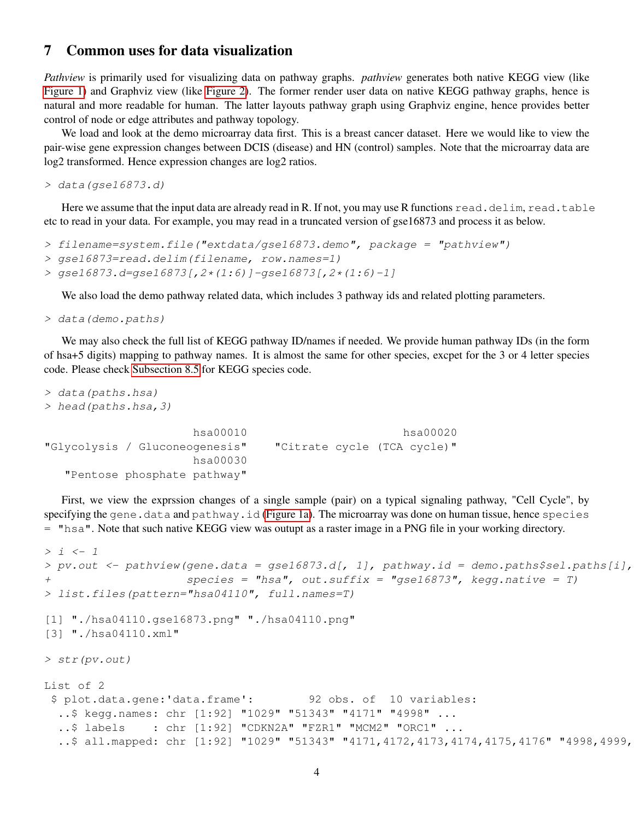#### <span id="page-3-0"></span>7 Common uses for data visualization

*Pathview* is primarily used for visualizing data on pathway graphs. *pathview* generates both native KEGG view (like [Figure 1\)](#page-5-0) and Graphviz view (like [Figure 2\)](#page-6-0). The former render user data on native KEGG pathway graphs, hence is natural and more readable for human. The latter layouts pathway graph using Graphviz engine, hence provides better control of node or edge attributes and pathway topology.

We load and look at the demo microarray data first. This is a breast cancer dataset. Here we would like to view the pair-wise gene expression changes between DCIS (disease) and HN (control) samples. Note that the microarray data are log2 transformed. Hence expression changes are log2 ratios.

> data(gse16873.d)

Here we assume that the input data are already read in R. If not, you may use R functions read.delim, read.table etc to read in your data. For example, you may read in a truncated version of gse16873 and process it as below.

```
> filename=system.file("extdata/gse16873.demo", package = "pathview")
> gse16873=read.delim(filename, row.names=1)
> gse16873.d=gse16873[,2*(1:6)]-gse16873[,2*(1:6)-1]
```
We also load the demo pathway related data, which includes 3 pathway ids and related plotting parameters.

```
> data(demo.paths)
```
We may also check the full list of KEGG pathway ID/names if needed. We provide human pathway IDs (in the form of hsa+5 digits) mapping to pathway names. It is almost the same for other species, excpet for the 3 or 4 letter species code. Please check [Subsection 8.5](#page-18-0) for KEGG species code.

```
> data(paths.hsa)
> head(paths.hsa,3)
                   hsa00010 hsa00020
"Glycolysis / Gluconeogenesis" "Citrate cycle (TCA cycle)"
                   hsa00030
  "Pentose phosphate pathway"
```
First, we view the exprssion changes of a single sample (pair) on a typical signaling pathway, "Cell Cycle", by specifying the gene.data and pathway.id [\(Figure 1a\)](#page-5-0). The microarray was done on human tissue, hence species = "hsa". Note that such native KEGG view was outupt as a raster image in a PNG file in your working directory.

```
> i < -1> pv.out <- pathview(gene.data = gse16873.d[, 1], pathway.id = demo.paths$sel.paths[i],
+ species = "hsa", out.suffix = "gse16873", kegg.native = T)
> list.files(pattern="hsa04110", full.names=T)
[1] "./hsa04110.gse16873.png" "./hsa04110.png"
[3] "./hsa04110.xml"
> str(pv.out)
List of 2
$ plot.data.gene:'data.frame': 92 obs. of 10 variables:
  ..$ kegg.names: chr [1:92] "1029" "51343" "4171" "4998" ...
  ..$ labels : chr [1:92] "CDKN2A" "FZR1" "MCM2" "ORC1" ...
  ..$ all.mapped: chr [1:92] "1029" "51343" "4171,4172,4173,4174,4175,4176" "4998,4999,
```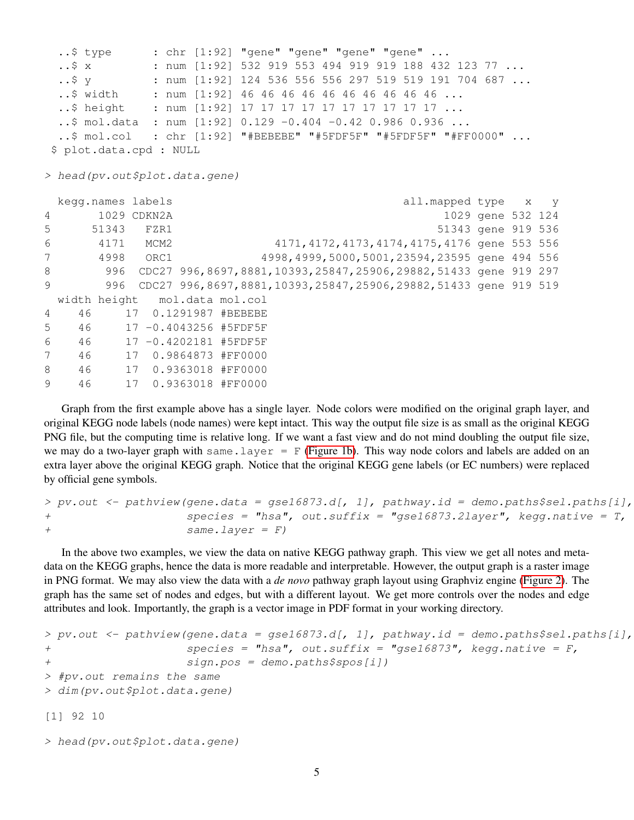```
..$ type : chr [1:92] "gene" "gene" "gene" "gene" ...
 \ldots$ x : num [1:92] 532 919 553 494 919 919 188 432 123 77 \ldots..$ y : num [1:92] 124 536 556 556 297 519 519 191 704 687 ...
 ..$ width : num [1:92] 46 46 46 46 46 46 46 46 46 46 ...
 ..$ height : num [1:92] 17 17 17 17 17 17 17 17 17 17 ...
 ..$ mol.data : num [1:92] 0.129 -0.404 -0.42 0.986 0.936 ...
 ..$ mol.col : chr [1:92] "#BEBEBE" "#5FDF5F" "#5FDF5F" "#FF0000" ...
$ plot.data.cpd : NULL
> head(pv.out$plot.data.gene)
 kegg.names labels all.mapped type x y
4 1029 CDKN2A 1029 gene 532 124
5 51343 FZR1 51343 gene 919 536
6 4171 MCM2 4171,4172,4173,4174,4175,4176 gene 553 556
7 4998 ORC1 4998,4999,5000,5001,23594,23595 gene 494 556
8 996 CDC27 996,8697,8881,10393,25847,25906,29882,51433 gene 919 297
9 996 CDC27 996,8697,8881,10393,25847,25906,29882,51433 gene 919 519
 width height mol.data mol.col
4 46 17 0.1291987 #BEBEBE
5 46 17 -0.4043256 #5FDF5F
6 46 17 -0.4202181 #5FDF5F
7 46 17 0.9864873 #FF0000
8 46 17 0.9363018 #FF0000
9 46 17 0.9363018 #FF0000
```
Graph from the first example above has a single layer. Node colors were modified on the original graph layer, and original KEGG node labels (node names) were kept intact. This way the output file size is as small as the original KEGG PNG file, but the computing time is relative long. If we want a fast view and do not mind doubling the output file size, we may do a two-layer graph with same.layer =  $F$  [\(Figure 1b\)](#page-5-0). This way node colors and labels are added on an extra layer above the original KEGG graph. Notice that the original KEGG gene labels (or EC numbers) were replaced by official gene symbols.

```
> pv.out < -pathview(qene.data = ges16873.d[, 1], pathway.id = demo.paths$sel.paths[i],+ species = "hsa", out.suffix = "gse16873.2layer", kegg.native = T,
+ same.layer = F)
```
In the above two examples, we view the data on native KEGG pathway graph. This view we get all notes and metadata on the KEGG graphs, hence the data is more readable and interpretable. However, the output graph is a raster image in PNG format. We may also view the data with a *de novo* pathway graph layout using Graphviz engine [\(Figure 2\)](#page-6-0). The graph has the same set of nodes and edges, but with a different layout. We get more controls over the nodes and edge attributes and look. Importantly, the graph is a vector image in PDF format in your working directory.

```
> pv.out < -pathview(gene.data = gse16873.d[, 1], pathway.id = demo.paths$sel.path[1],+ species = "hsa", out.suffix = "gse16873", kegg.native = F,
+ sign.pos = demo.paths$spos[i])
> #pv.out remains the same
> dim(pv.out$plot.data.gene)
[1] 92 10
```

```
> head(pv.out$plot.data.gene)
```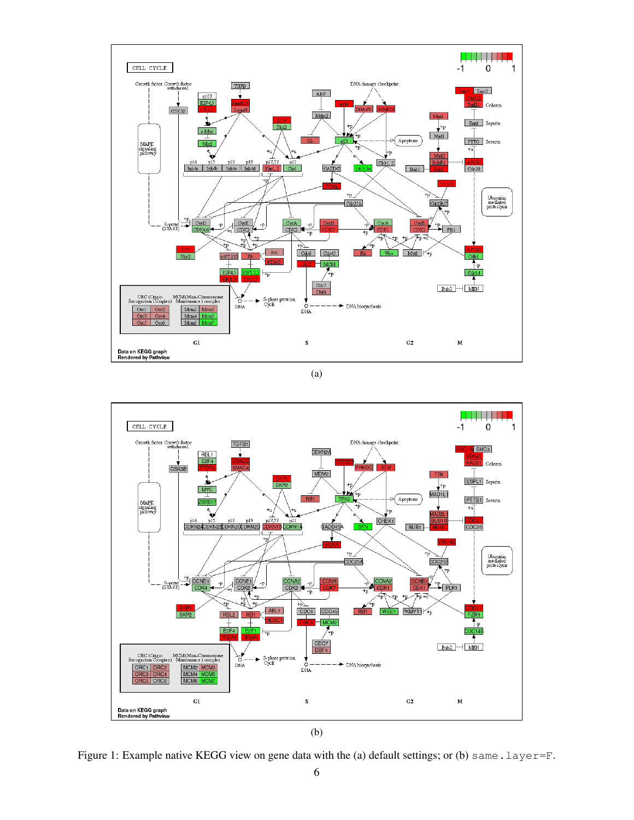<span id="page-5-0"></span>

(a)



Figure 1: Example native KEGG view on gene data with the (a) default settings; or (b) same.layer=F.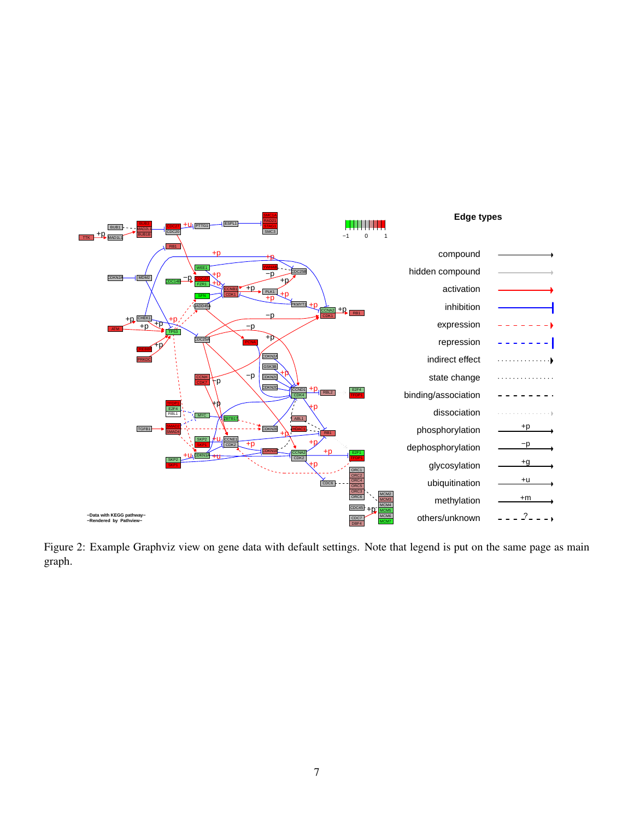<span id="page-6-0"></span>

Figure 2: Example Graphviz view on gene data with default settings. Note that legend is put on the same page as main graph.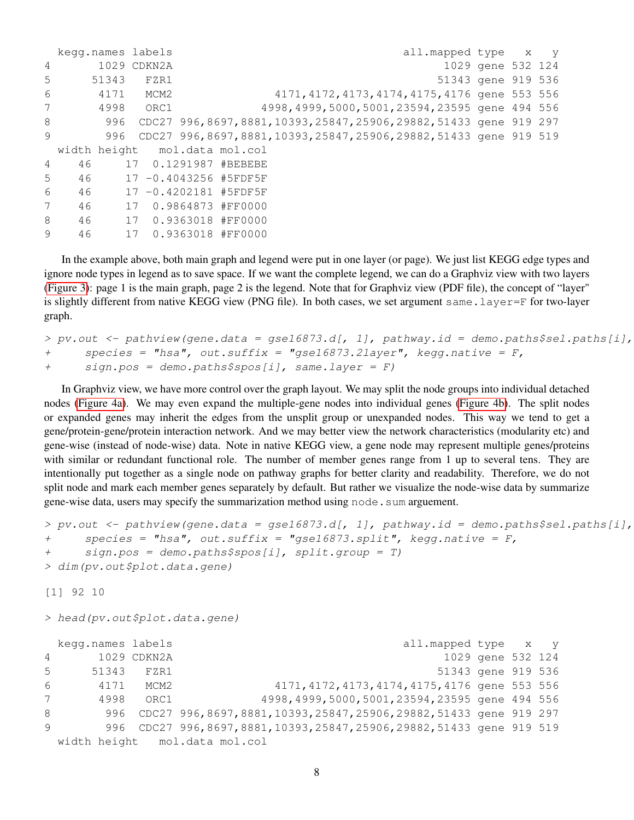|   | kegg.names labels             |     |             |                                                                |  |  | all.mapped type x y                             |                   |  |
|---|-------------------------------|-----|-------------|----------------------------------------------------------------|--|--|-------------------------------------------------|-------------------|--|
| 4 |                               |     | 1029 CDKN2A |                                                                |  |  |                                                 | 1029 gene 532 124 |  |
| 5 | 51343                         |     | FZR1        |                                                                |  |  | 51343 gene 919 536                              |                   |  |
| 6 | 4171                          |     | MCM2        |                                                                |  |  | 4171, 4172, 4173, 4174, 4175, 4176 gene 553 556 |                   |  |
| 7 | 4998                          |     | ORC1        |                                                                |  |  | 4998,4999,5000,5001,23594,23595 gene 494 556    |                   |  |
| 8 |                               | 996 |             | CDC27 996,8697,8881,10393,25847,25906,29882,51433 gene 919 297 |  |  |                                                 |                   |  |
| 9 |                               | 996 |             | CDC27 996,8697,8881,10393,25847,25906,29882,51433 gene 919 519 |  |  |                                                 |                   |  |
|   | width height mol.data mol.col |     |             |                                                                |  |  |                                                 |                   |  |
| 4 | 46                            |     |             | 17 0.1291987 #BEBEBE                                           |  |  |                                                 |                   |  |
| 5 | 46                            |     |             | 17 -0.4043256 #5FDF5F                                          |  |  |                                                 |                   |  |
| 6 | 46                            |     |             | 17 -0.4202181 #5FDF5F                                          |  |  |                                                 |                   |  |
| 7 | 46                            | 17  |             | 0.9864873 #FF0000                                              |  |  |                                                 |                   |  |
| 8 | 46                            | 17  |             | 0.9363018 #FF0000                                              |  |  |                                                 |                   |  |
| 9 | 46                            | 17  |             | 0.9363018 #FF0000                                              |  |  |                                                 |                   |  |

In the example above, both main graph and legend were put in one layer (or page). We just list KEGG edge types and ignore node types in legend as to save space. If we want the complete legend, we can do a Graphviz view with two layers [\(Figure 3\)](#page-8-0): page 1 is the main graph, page 2 is the legend. Note that for Graphviz view (PDF file), the concept of "layer" is slightly different from native KEGG view (PNG file). In both cases, we set argument same. layer=F for two-layer graph.

```
> pv.out <- pathview(gene.data = gse16873.d[, 1], pathway.id = demo.paths$sel.paths[i],
+ species = "hsa", out.suffix = "gse16873.2layer", kegg.native = F,
+ sign.pos = demo.paths$spos[i], same.layer = F)
```
In Graphviz view, we have more control over the graph layout. We may split the node groups into individual detached nodes [\(Figure 4a\)](#page-9-0). We may even expand the multiple-gene nodes into individual genes [\(Figure 4b\)](#page-9-0). The split nodes or expanded genes may inherit the edges from the unsplit group or unexpanded nodes. This way we tend to get a gene/protein-gene/protein interaction network. And we may better view the network characteristics (modularity etc) and gene-wise (instead of node-wise) data. Note in native KEGG view, a gene node may represent multiple genes/proteins with similar or redundant functional role. The number of member genes range from 1 up to several tens. They are intentionally put together as a single node on pathway graphs for better clarity and readability. Therefore, we do not split node and mark each member genes separately by default. But rather we visualize the node-wise data by summarize gene-wise data, users may specify the summarization method using node. sum arguement.

```
> pv.out <- pathview(gene.data = gse16873.d[, 1], pathway.id = demo.paths$sel.paths[i],
+ species = "hsa", out.suffix = "gse16873.split", kegg.native = F,
+ sign.pos = demo.paths$spos[i], split.group = T)
> dim(pv.out$plot.data.gene)
[1] 92 10
```
> head(pv.out\$plot.data.gene)

|   | kegg.names labels |             | all.mapped type x y                                            |                   |  |
|---|-------------------|-------------|----------------------------------------------------------------|-------------------|--|
| 4 |                   | 1029 CDKN2A |                                                                | 1029 gene 532 124 |  |
| 5 | 51343             | FZR1        | 51343 gene 919 536                                             |                   |  |
| 6 | 4171              | MCM2        | 4171, 4172, 4173, 4174, 4175, 4176 gene 553 556                |                   |  |
| 7 | 4998              | ORC1        | 4998, 4999, 5000, 5001, 23594, 23595 gene 494 556              |                   |  |
| 8 | 996               |             | CDC27 996,8697,8881,10393,25847,25906,29882,51433 gene 919 297 |                   |  |
| 9 | 996               |             | CDC27 996,8697,8881,10393,25847,25906,29882,51433 gene 919 519 |                   |  |
|   |                   |             | width height mol.data mol.col                                  |                   |  |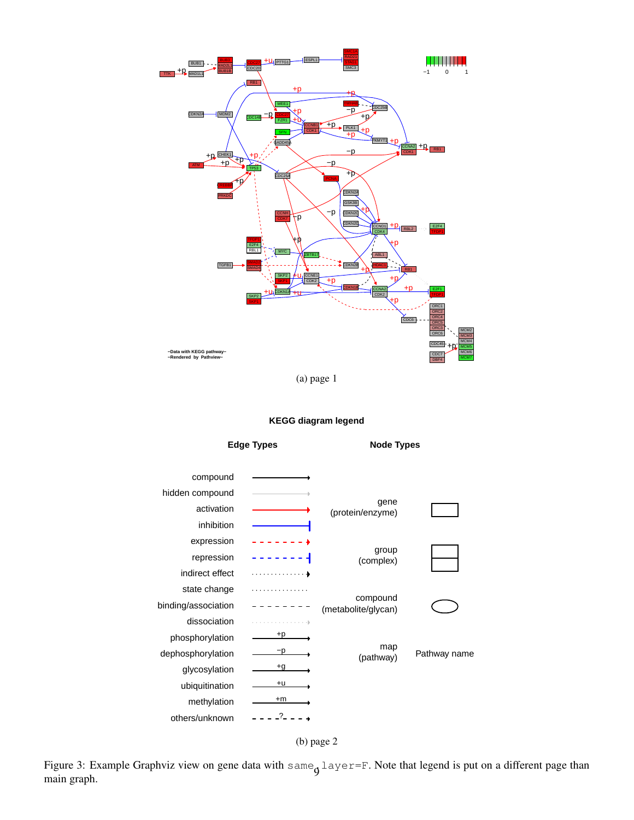<span id="page-8-0"></span>

(a) page 1

#### **KEGG diagram legend**





Figure 3: Example Graphviz view on gene data with same<sub>g</sub> layer=F. Note that legend is put on a different page than main graph.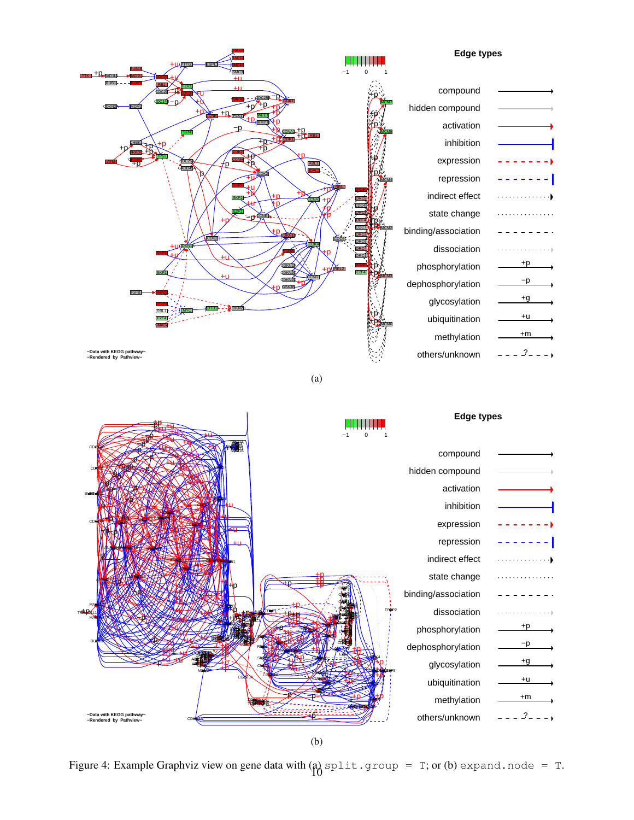<span id="page-9-0"></span>

| <b>+I APTTG1</b><br><b>ESPI</b><br>31 JB 1 F<br>SMC <sub>3</sub><br>$+p_{\text{MAD1}}$<br>$+u$ |                    | <b>Edge types</b>   |      |
|------------------------------------------------------------------------------------------------|--------------------|---------------------|------|
| BUB <sub>1</sub><br>$+u$<br>CDC <sub>20</sub>                                                  |                    | compound            |      |
| CDC14B<br>$+p^{\prime+}P$<br><b>CDKN2</b><br>MDM <sub>2</sub><br>CONB + P PLKO<br>WEE          |                    | hidden compound     |      |
| <b>+PIEMYTH</b><br>-n<br>$\frac{\text{ccn}+1}{\text{c}}$ RB1                                   |                    | activation          |      |
| $rac{1}{10}$                                                                                   |                    | inhibition          |      |
| <b>CCNH</b><br>DC <sub>25</sub><br>ŦО<br>۴D<br><b>SADD45</b>                                   | <b>ABL</b>         | expression          |      |
| CDK <sub>2</sub>                                                                               |                    | repression          |      |
|                                                                                                |                    | indirect effect     |      |
| -pecne                                                                                         |                    | state change        |      |
| CDK <sub>2</sub>                                                                               |                    | binding/association |      |
| I CDKN1.                                                                                       | CDK4               | dissociation        |      |
| DKN <sub>2</sub><br>DKN <sub>2</sub><br>SKP <sub>2</sub>                                       | <b>RBL</b><br>F2F4 | phosphorylation     | +p   |
| <b>ODKN2D</b><br><b>GSK3E</b><br>٠D                                                            | <b>CCND</b>        | dephosphorylation   | $-p$ |
| TGFB <sub>1</sub>                                                                              |                    | glycosylation       | $+g$ |
| <b>CIDKN2</b>                                                                                  |                    | ubiquitination      | $+u$ |
|                                                                                                |                    | methylation         | $+m$ |
| -Data with KEGG pathway-<br>-Rendered by Pathview-                                             |                    | others/unknown      | ?    |

(a)



(b)

Figure 4: Example Graphviz view on gene data with  $\begin{bmatrix} a \\ 10 \end{bmatrix}$  split.group = T; or (b) expand.node = T.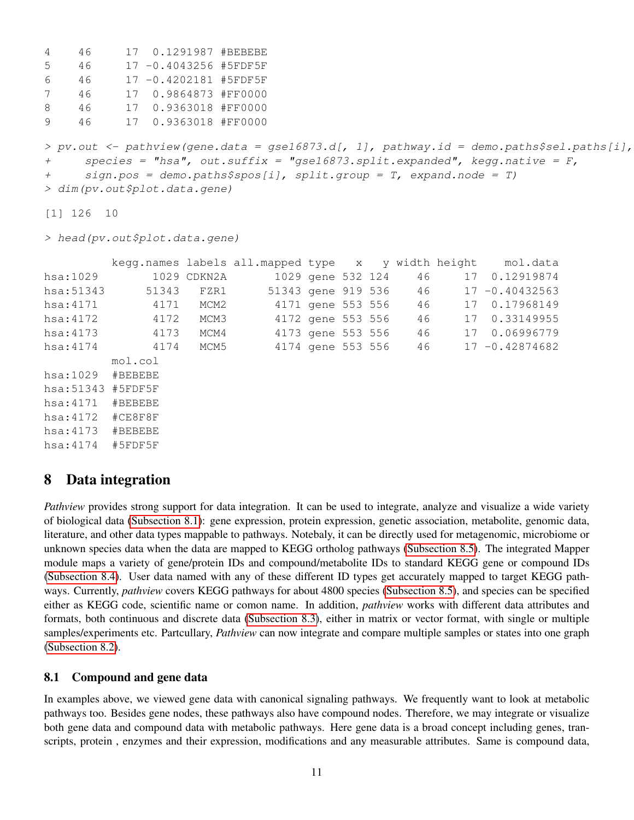```
4 46 17 0.1291987 #BEBEBE
5 46 17 -0.4043256 #5FDF5F
6 46 17 -0.4202181 #5FDF5F
7 46 17 0.9864873 #FF0000
8 46 17 0.9363018 #FF0000
9 46 17 0.9363018 #FF0000
> pv.out < -pathview(gene.data = gse16873.d[, 1], pathway.id = demo.paths$sel.path[1],+ species = "hsa", out.suffix = "gse16873.split.expanded", kegg.native = F,
+ sign.pos = demo.paths$spos[i], split.group = T, expand.node = T)
> dim(pv.out$plot.data.gene)
```

```
[1] 126 10
```
> head(pv.out\$plot.data.gene)

|            |         |             | kegg.names labels all.mapped type x y width height |                   |  |  |                       |    | mol.data          |
|------------|---------|-------------|----------------------------------------------------|-------------------|--|--|-----------------------|----|-------------------|
| hsa:1029   |         | 1029 CDKN2A |                                                    | 1029 gene 532 124 |  |  | 46                    | 17 | 0.12919874        |
| hsa: 51343 | 51343   | FZR1        |                                                    |                   |  |  | 51343 gene 919 536 46 |    | $17 - 0.40432563$ |
| hsa: 4171  | 4171    | MCM2        |                                                    | 4171 gene 553 556 |  |  | 46                    | 17 | 0.17968149        |
| hsa: 4172  | 4172    | MCM3        |                                                    | 4172 gene 553 556 |  |  | 46                    |    | 17 0.33149955     |
| hsa: 4173  | 4173    | MCM4        |                                                    | 4173 gene 553 556 |  |  | 46                    |    | 17 0.06996779     |
| hsa: 4174  | 4174    | MCM5        |                                                    | 4174 gene 553 556 |  |  | 46                    |    | $17 - 0.42874682$ |
|            | mol.col |             |                                                    |                   |  |  |                       |    |                   |
| hsa:1029   | #BEBEBE |             |                                                    |                   |  |  |                       |    |                   |
| hsa: 51343 | #5FDF5F |             |                                                    |                   |  |  |                       |    |                   |
| hsa: 4171  | #BEBEBE |             |                                                    |                   |  |  |                       |    |                   |
| hsa:4172   | #CE8F8F |             |                                                    |                   |  |  |                       |    |                   |
| hsa:4173   | #BEBEBE |             |                                                    |                   |  |  |                       |    |                   |
| hsa: 4174  | #5FDF5F |             |                                                    |                   |  |  |                       |    |                   |

## <span id="page-10-0"></span>8 Data integration

*Pathview* provides strong support for data integration. It can be used to integrate, analyze and visualize a wide variety of biological data [\(Subsection 8.1\)](#page-10-1): gene expression, protein expression, genetic association, metabolite, genomic data, literature, and other data types mappable to pathways. Notebaly, it can be directly used for metagenomic, microbiome or unknown species data when the data are mapped to KEGG ortholog pathways [\(Subsection 8.5\)](#page-18-0). The integrated Mapper module maps a variety of gene/protein IDs and compound/metabolite IDs to standard KEGG gene or compound IDs [\(Subsection 8.4\)](#page-17-0). User data named with any of these different ID types get accurately mapped to target KEGG pathways. Currently, *pathview* covers KEGG pathways for about 4800 species [\(Subsection 8.5\)](#page-18-0), and species can be specified either as KEGG code, scientific name or comon name. In addition, *pathview* works with different data attributes and formats, both continuous and discrete data [\(Subsection 8.3\)](#page-14-0), either in matrix or vector format, with single or multiple samples/experiments etc. Partcullary, *Pathview* can now integrate and compare multiple samples or states into one graph [\(Subsection 8.2\)](#page-12-0).

#### <span id="page-10-1"></span>8.1 Compound and gene data

In examples above, we viewed gene data with canonical signaling pathways. We frequently want to look at metabolic pathways too. Besides gene nodes, these pathways also have compound nodes. Therefore, we may integrate or visualize both gene data and compound data with metabolic pathways. Here gene data is a broad concept including genes, transcripts, protein , enzymes and their expression, modifications and any measurable attributes. Same is compound data,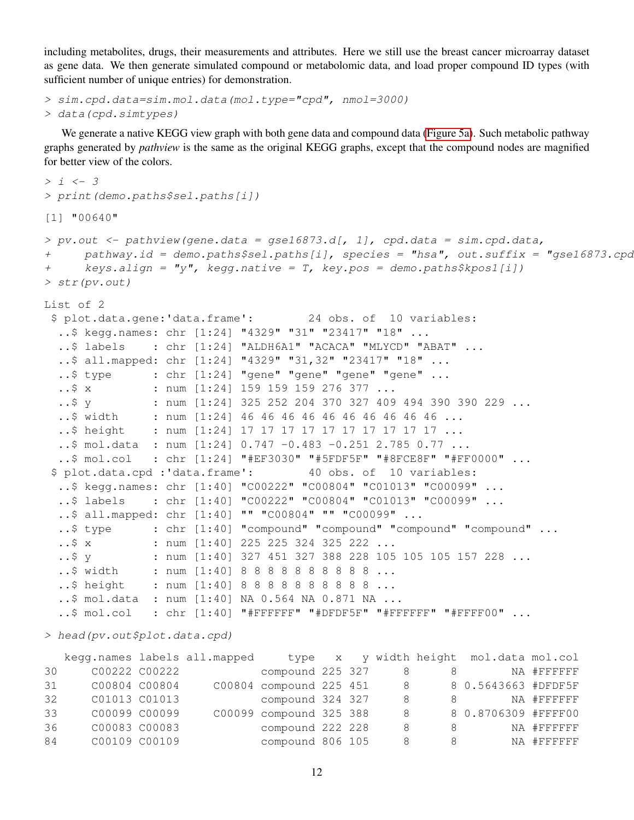including metabolites, drugs, their measurements and attributes. Here we still use the breast cancer microarray dataset as gene data. We then generate simulated compound or metabolomic data, and load proper compound ID types (with sufficient number of unique entries) for demonstration.

```
> sim.cpd.data=sim.mol.data(mol.type="cpd", nmol=3000)
> data(cpd.simtypes)
```
We generate a native KEGG view graph with both gene data and compound data [\(Figure 5a\)](#page-13-0). Such metabolic pathway graphs generated by *pathview* is the same as the original KEGG graphs, except that the compound nodes are magnified for better view of the colors.

```
> i < -3> print(demo.paths$sel.paths[i])
[1] "00640"
> pv.out < -pathview(gene.data = gse16873.d[, 1], cpd.data = sim.cpd.data,+ pathway.id = demo.paths$sel.paths[i], species = "hsa", out.suffix = "gse16873.cpd",
+ keys.align = "y", kegg.native = T, key.pos = demo.paths$kpos1[i])
> str(pv.out)
List of 2
$ plot.data.gene:'data.frame': 24 obs. of 10 variables:
  ..$ kegg.names: chr [1:24] "4329" "31" "23417" "18" ...
  ..$ labels : chr [1:24] "ALDH6A1" "ACACA" "MLYCD" "ABAT" ...
  ..$ all.mapped: chr [1:24] "4329" "31,32" "23417" "18" ...
  ..$ type : chr [1:24] "gene" "gene" "gene" "gene" ...
  ..$ x : num [1:24] 159 159 159 276 377 ...
  ..$ y : num [1:24] 325 252 204 370 327 409 494 390 390 229 ...
  ..$ width : num [1:24] 46 46 46 46 46 46 46 46 46 46 ...
  ..$ height : num [1:24] 17 17 17 17 17 17 17 17 17 ...
  ..$ mol.data : num [1:24] 0.747 -0.483 -0.251 2.785 0.77 ...
  ..$ mol.col : chr [1:24] "#EF3030" "#5FDF5F" "#8FCE8F" "#FF0000" ...
 $ plot.data.cpd :'data.frame': 40 obs. of 10 variables:
  ..$ kegg.names: chr [1:40] "C00222" "C00804" "C01013" "C00099" ...
  ..$ labels : chr [1:40] "C00222" "C00804" "C01013" "C00099" ...
  ..$ all.mapped: chr [1:40] "" "C00804" "" "C00099" ...
  ..$ type : chr [1:40] "compound" "compound" "compound" "compound" ...
  ..$ x : num [1:40] 225 225 324 325 222 ...
               : num [1:40] 327 451 327 388 228 105 105 105 157 228 ...
  ..$ width : num [1:40] 8 8 8 8 8 8 8 8 8 8 ...
  ..$ height : num [1:40] 8 8 8 8 8 8 8 8 8 8 ...
  ..$ mol.data : num [1:40] NA 0.564 NA 0.871 NA ...
  ..$ mol.col : chr [1:40] "#FFFFFF" "#DFDF5F" "#FFFFFF" "#FFFF00" ...
```
> head(pv.out\$plot.data.cpd)

|    |               |               | kegg.names labels all.mapped |                         |  |                |   | type x y width height mol.data mol.col |             |
|----|---------------|---------------|------------------------------|-------------------------|--|----------------|---|----------------------------------------|-------------|
| 30 |               | C00222 C00222 |                              | compound 225 327        |  | 8              | 8 |                                        | NA #FFFFFFF |
| 31 | C00804 C00804 |               |                              | C00804 compound 225 451 |  | 8 <sup>8</sup> |   | 8 0.5643663 #DFDF5F                    |             |
| 32 | C01013 C01013 |               |                              | compound 324 327        |  | 8              | 8 |                                        | NA #FFFFFFF |
| 33 | C00099 C00099 |               |                              | C00099 compound 325 388 |  | -8             |   | 8 0.8706309 #FFFF00                    |             |
| 36 | C00083 C00083 |               |                              | compound 222 228        |  | 8              | 8 |                                        | NA #FFFFFFF |
| 84 | C00109 C00109 |               |                              | compound 806 105        |  | 8              | 8 |                                        | NA #FFFFFFF |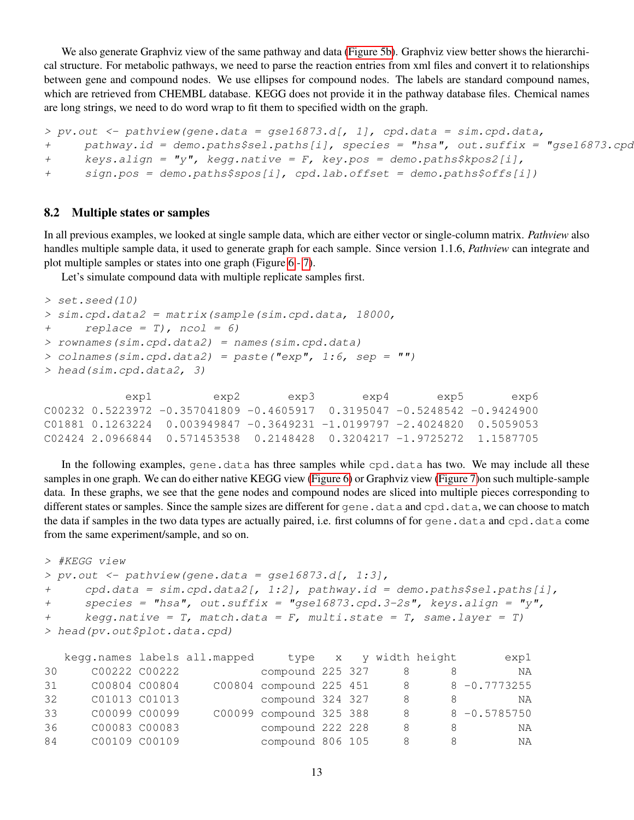We also generate Graphviz view of the same pathway and data [\(Figure 5b\)](#page-13-0). Graphviz view better shows the hierarchical structure. For metabolic pathways, we need to parse the reaction entries from xml files and convert it to relationships between gene and compound nodes. We use ellipses for compound nodes. The labels are standard compound names, which are retrieved from CHEMBL database. KEGG does not provide it in the pathway database files. Chemical names are long strings, we need to do word wrap to fit them to specified width on the graph.

```
> pv.out < -pathview(qene.data = qse16873.d[, 1], cpd.data = sim.cpd.data,+ pathway.id = demo.paths$sel.paths[i], species = "hsa", out.suffix = "gse16873.cpd"
+ keys.align = "y", kegg.native = F, key.pos = demo.paths$kpos2[i],
+ sign.pos = demo.paths$spos[i], cpd.lab.offset = demo.paths$offs[i])
```
#### <span id="page-12-0"></span>8.2 Multiple states or samples

In all previous examples, we looked at single sample data, which are either vector or single-column matrix. *Pathview* also handles multiple sample data, it used to generate graph for each sample. Since version 1.1.6, *Pathview* can integrate and plot multiple samples or states into one graph (Figure [6](#page-15-0) - [7\)](#page-16-0).

Let's simulate compound data with multiple replicate samples first.

```
> set.seed(10)
> sim.cpd.data2 = matrix(sample(sim.cpd.data, 18000,
+ replace = T), ncol = 6)
> rownames(sim.cpd.data2) = names(sim.cpd.data)
> colnames(sim.cpd.data2) = paste("exp", 1:6, sep = "")
> head(sim.cpd.data2, 3)
```

| exp6 | exp5 | exp4 | exp3 | exp2                                                                          | expl |  |
|------|------|------|------|-------------------------------------------------------------------------------|------|--|
|      |      |      |      | $0.00232$ 0.5223972 -0.357041809 -0.4605917 0.3195047 -0.5248542 -0.9424900   |      |  |
|      |      |      |      | $C01881$ 0.1263224 0.003949847 -0.3649231 -1.0199797 -2.4024820 0.5059053     |      |  |
|      |      |      |      | $0.21424$ 2.0966844  0.571453538  0.2148428  0.3204217  -1.9725272  1.1587705 |      |  |

In the following examples, gene.data has three samples while cpd.data has two. We may include all these samples in one graph. We can do either native KEGG view [\(Figure 6\)](#page-15-0) or Graphviz view [\(Figure 7\)](#page-16-0)on such multiple-sample data. In these graphs, we see that the gene nodes and compound nodes are sliced into multiple pieces corresponding to different states or samples. Since the sample sizes are different for gene.data and cpd.data, we can choose to match the data if samples in the two data types are actually paired, i.e. first columns of for gene.data and cpd.data come from the same experiment/sample, and so on.

```
> #KEGG view
> pv.out < -pathview(gene.data = gse16873.d[, 1:3],+ cpd.data = sim.cpd.data2[, 1:2], pathway.id = demo.paths$sel.paths[i],
+ species = "hsa", out.suffix = "gse16873.cpd.3-2s", keys.align = "y",
+ keqq.native = T, match.data = F, multi.state = T, same.layer = T)
> head(pv.out$plot.data.cpd)
```

|    |               |               | kegg.names labels all.mapped |                         |  |    | type x y width height | exp1            |
|----|---------------|---------------|------------------------------|-------------------------|--|----|-----------------------|-----------------|
| 30 |               | C00222 C00222 |                              | compound 225 327        |  | 8  | 8                     | ΝA              |
| 31 | C00804 C00804 |               |                              | C00804 compound 225 451 |  | -8 |                       | $8 - 0.7773255$ |
| 32 | C01013 C01013 |               |                              | compound 324 327        |  | 8  |                       | ΝA              |
| 33 | C00099 C00099 |               |                              | C00099 compound 325 388 |  | -8 |                       | $8 - 0.5785750$ |
| 36 | C00083 C00083 |               |                              | compound 222 228        |  | 8  | 8                     | NA              |
| 84 |               | C00109 C00109 |                              | compound 806 105        |  | 8  |                       | NA              |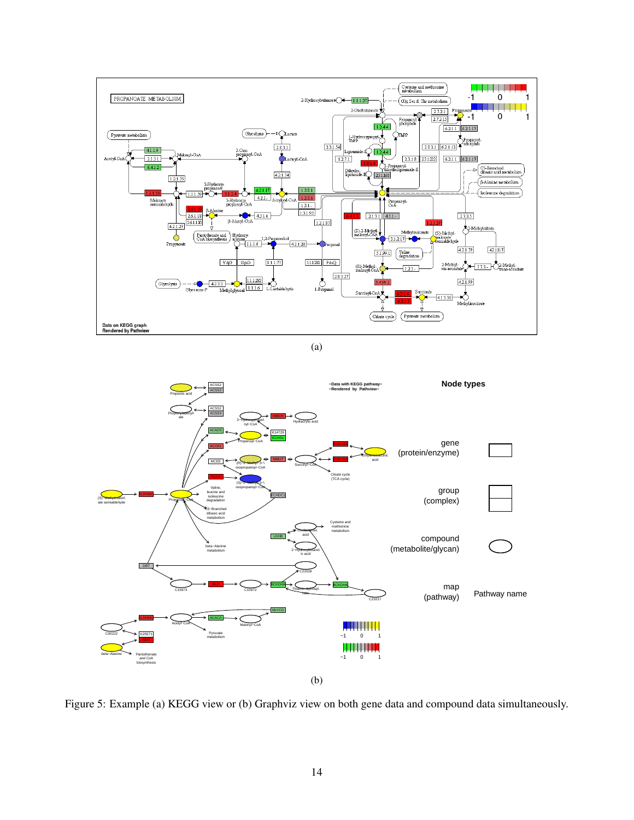<span id="page-13-0"></span>

(a)



Figure 5: Example (a) KEGG view or (b) Graphviz view on both gene data and compound data simultaneously.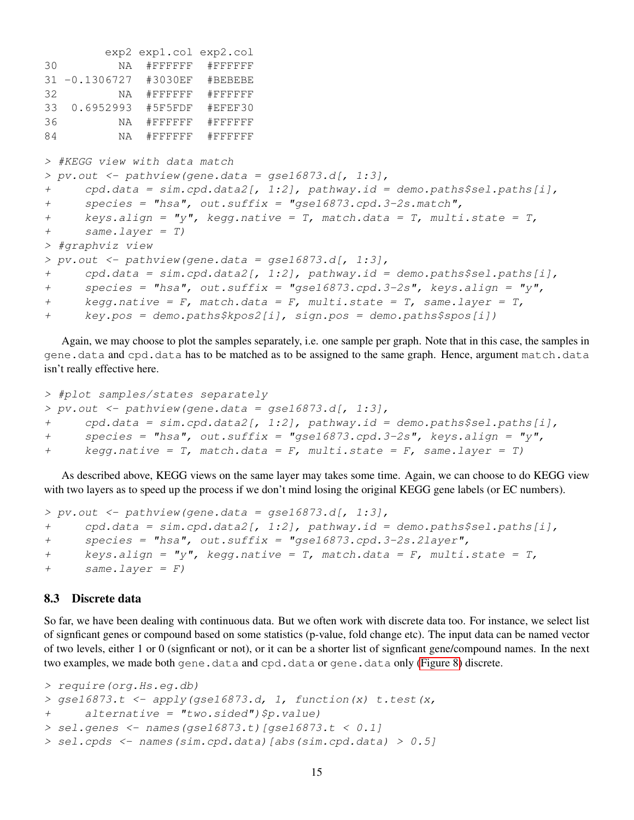```
exp2 exp1.col exp2.col
30 NA #FFFFFF #FFFFFF
31 -0.1306727 #3030EF #BEBEBE
32 NA #FFFFFF #FFFFFF
33 0.6952993 #5F5FDF #EFEF30
36 NA #FFFFFF #FFFFFF
84 NA #FFFFFF #FFFFFF
> #KEGG view with data match
> pv.out < -pathview(gene.data = gse16873.d[, 1:3],+ cpd.data = sim.cpd.data2[, 1:2], pathway.id = demo.paths$sel.paths[i],
+ species = "hsa", out.suffix = "gse16873.cpd.3-2s.match",
+ keys.align = "y", kegg.native = T, match.data = T, multi.state = T,
+ same.layer = T)
> #graphviz view
> pv.out < - pathview(qene.data = qse16873.d[, 1:3],+ cpd.data = sim.cpd.data2[, 1:2], pathway.id = demo.paths$sel.paths[i],
+ species = "hsa", out.suffix = "gse16873.cpd.3-2s", keys.align = "y",
+ kegg.native = F, match.data = F, multi.state = T, same.layer = T,
+ key.pos = demo.paths$kpos2[i], sign.pos = demo.paths$spos[i])
```
Again, we may choose to plot the samples separately, i.e. one sample per graph. Note that in this case, the samples in gene.data and cpd.data has to be matched as to be assigned to the same graph. Hence, argument match.data isn't really effective here.

```
> #plot samples/states separately
> pv.out < -pathview(gene.data = gse16873.d[, 1:3],+ cpd.data = sim.cpd.data2[, 1:2], pathway.id = demo.paths$sel.paths[i],
+ species = "hsa", out.suffix = "gse16873.cpd.3-2s", keys.align = "y",
+ kegg.native = T, match.data = F, multi.state = F, same.layer = T)
```
As described above, KEGG views on the same layer may takes some time. Again, we can choose to do KEGG view with two layers as to speed up the process if we don't mind losing the original KEGG gene labels (or EC numbers).

```
> pv.out < -pathview(qene.data = qse16873.d[, 1:3],+ cpd.data = sim.cpd.data2[, 1:2], pathway.id = demo.paths$sel.paths[i],
+ species = "hsa", out.suffix = "gse16873.cpd.3-2s.2layer",
+ keys.align = "y", kegg.native = T, match.data = F, multi.state = T,
+ same.layer = F)
```
#### <span id="page-14-0"></span>8.3 Discrete data

So far, we have been dealing with continuous data. But we often work with discrete data too. For instance, we select list of signficant genes or compound based on some statistics (p-value, fold change etc). The input data can be named vector of two levels, either 1 or 0 (signficant or not), or it can be a shorter list of signficant gene/compound names. In the next two examples, we made both gene.data and cpd.data or gene.data only [\(Figure 8\)](#page-17-1) discrete.

```
> require(org.Hs.eg.db)
> qse16873.t \leq apply(qse16873.d, 1, function(x) t.test(x,
+ alternative = "two.sided")$p.value)
> sel.genes <- names(gse16873.t)[gse16873.t < 0.1]
> sel.cpds <- names(sim.cpd.data)[abs(sim.cpd.data) > 0.5]
```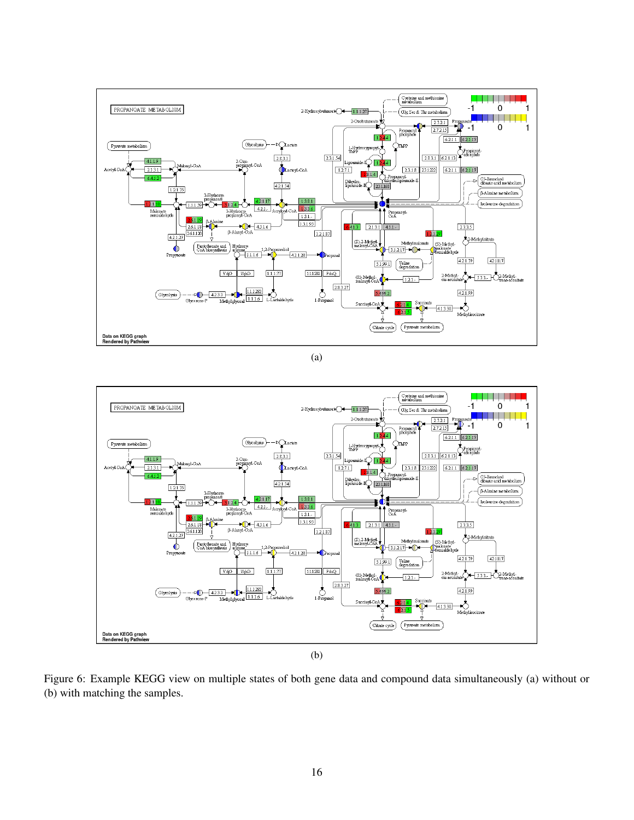<span id="page-15-0"></span>

(a)



Figure 6: Example KEGG view on multiple states of both gene data and compound data simultaneously (a) without or (b) with matching the samples.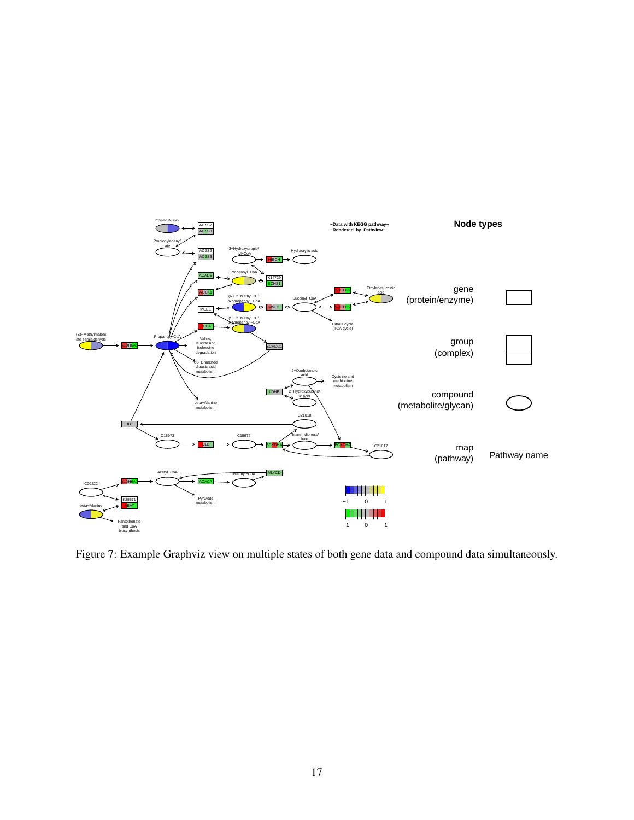<span id="page-16-0"></span>

Figure 7: Example Graphviz view on multiple states of both gene data and compound data simultaneously.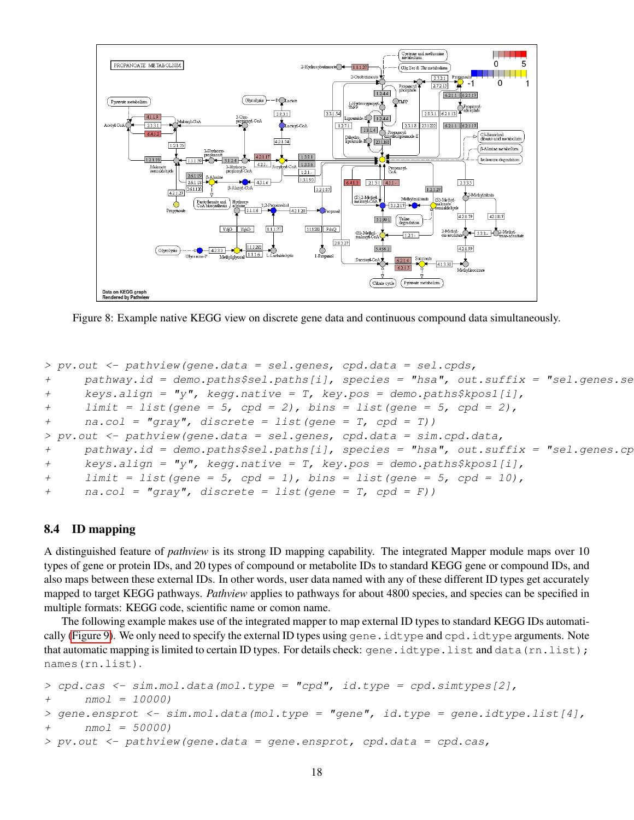<span id="page-17-1"></span>

Figure 8: Example native KEGG view on discrete gene data and continuous compound data simultaneously.

```
> pv.out < -pathview(qene.data = sel.genes, cpd.data = sel.cpds,+ pathway.id = demo.paths$sel.paths[i], species = "hsa", out.suffix = "sel.qenes.se
+ keys.align = "y", kegg.native = T, key.pos = demo.paths$kpos1[i],
+ limit = list(gene = 5, cpd = 2), bins = list(gene = 5, cpd = 2),
+ na.col = "gray", discrete = list(gene = T, cpd = T)> pv.out < -pathview(qene.data = sel.genes, cpd.data = sim.cpd.data,+ pathway.id = demo.paths$sel.paths[i], species = "hsa", out.suffix = "sel.genes.cpd",
+ keys.align = "y", kegg.native = T, key.pos = demo.paths$kpos1[i],
+ limit = list(gene = 5, cpd = 1), bins = list(gene = 5, cpd = 10),
+ na.col = "gray", discrete = list(gene = T, cpd = F))
```
#### <span id="page-17-0"></span>8.4 ID mapping

A distinguished feature of *pathview* is its strong ID mapping capability. The integrated Mapper module maps over 10 types of gene or protein IDs, and 20 types of compound or metabolite IDs to standard KEGG gene or compound IDs, and also maps between these external IDs. In other words, user data named with any of these different ID types get accurately mapped to target KEGG pathways. *Pathview* applies to pathways for about 4800 species, and species can be specified in multiple formats: KEGG code, scientific name or comon name.

The following example makes use of the integrated mapper to map external ID types to standard KEGG IDs automati-cally [\(Figure 9\)](#page-18-1). We only need to specify the external ID types using gene.idtype and cpd.idtype arguments. Note that automatic mapping is limited to certain ID types. For details check: gene.idtype.list and data(rn.list); names(rn.list).

```
> cpd.cas < -sim.m.d.data(mol.type = "cpd", id.type = cpd.simtypes[2],+ nmol = 10000)
> gene.ensprot <- sim.mol.data(mol.type = "gene", id.type = gene.idtype.list[4],
+ nmol = 50000)
> pv.out < -pathview(qene.data = gene.ensprot, cpd.data = cpd.cas,
```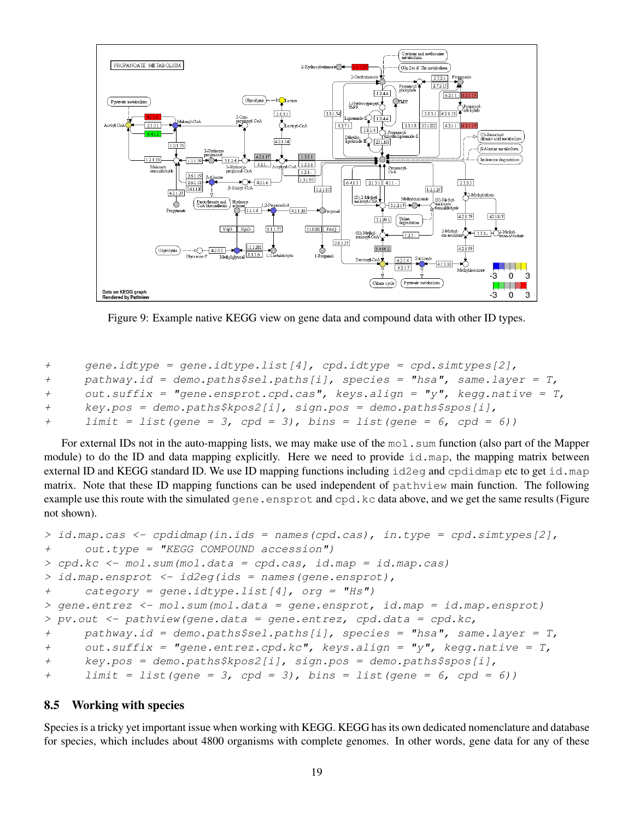<span id="page-18-1"></span>

Figure 9: Example native KEGG view on gene data and compound data with other ID types.

```
+ gene.idtype = qene.idtypeudt = (4), cpd.idtype = cpd.simtypes[2],
+ pathway.id = demo.paths$sel.paths[i], species = "hsa", same.layer = T,
+ out.suffix = "gene.ensprot.cpd.cas", keys.align = "y", kegg.native = T,
+ key.pos = demo.paths$kpos2[i], sign.pos = demo.paths$spos[i],
+ limit = list(gene = 3, cpd = 3), bins = list(gene = 6, cpd = 6))
```
For external IDs not in the auto-mapping lists, we may make use of the  $\text{mod}$ , sum function (also part of the Mapper module) to do the ID and data mapping explicitly. Here we need to provide  $id$ , map, the mapping matrix between external ID and KEGG standard ID. We use ID mapping functions including id2eq and cpdidmap etc to get id.map matrix. Note that these ID mapping functions can be used independent of pathview main function. The following example use this route with the simulated gene.ensprot and cpd.kc data above, and we get the same results (Figure not shown).

```
> id.\text{map.cas} < - \text{cpdidmap}(in.ids = names(cpd.cas), in.type = cpd.simtypes[2],+ out.type = "KEGG COMPOUND accession")
> cpd.kc <- mol.sum(mol.data = cpd.cas, id.map = id.map.cas)
> id.map.ensprot <- id2eg(ids = names(gene.ensprot),
+ category = gene.idtype.list[4], org = "Hs")
> gene.entrez <- mol.sum(mol.data = gene.ensprot, id.map = id.map.ensprot)
> pv.out < -pathview(qene.data = gene.entrez, cpd.data = cpd.kc,+ pathway.id = demo.paths$sel.paths[i], species = "hsa", same.layer = T,
+ out.suffix = "gene.entrez.cpd.kc", keys.align = "y", kegg.native = T,
+ key.pos = demo.paths$kpos2[i], sign.pos = demo.paths$spos[i],
+ limit = list(gene = 3, cpd = 3), bins = list(gene = 6, cpd = 6))
```
#### <span id="page-18-0"></span>8.5 Working with species

Species is a tricky yet important issue when working with KEGG. KEGG has its own dedicated nomenclature and database for species, which includes about 4800 organisms with complete genomes. In other words, gene data for any of these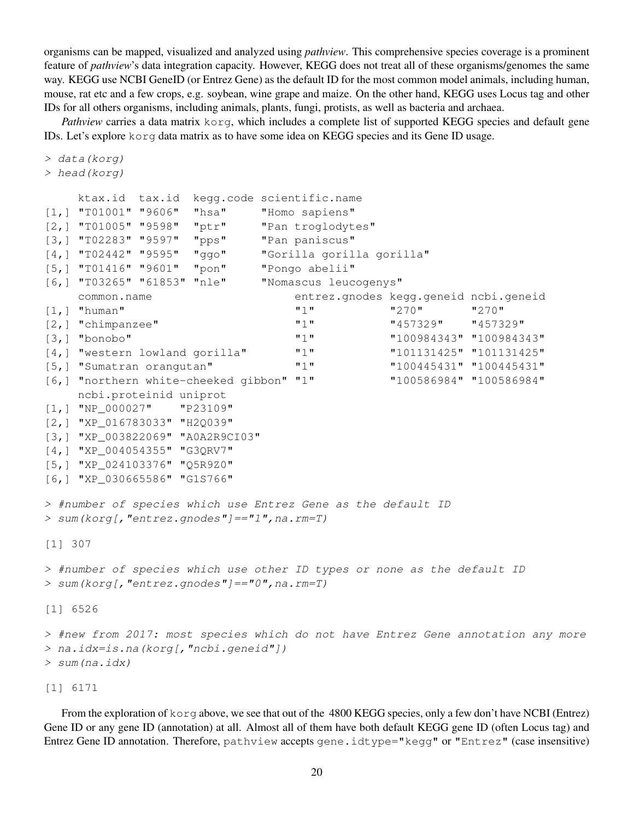organisms can be mapped, visualized and analyzed using *pathview*. This comprehensive species coverage is a prominent feature of *pathview*'s data integration capacity. However, KEGG does not treat all of these organisms/genomes the same way. KEGG use NCBI GeneID (or Entrez Gene) as the default ID for the most common model animals, including human, mouse, rat etc and a few crops, e.g. soybean, wine grape and maize. On the other hand, KEGG uses Locus tag and other IDs for all others organisms, including animals, plants, fungi, protists, as well as bacteria and archaea.

*Pathview* carries a data matrix korg, which includes a complete list of supported KEGG species and default gene IDs. Let's explore korg data matrix as to have some idea on KEGG species and its Gene ID usage.

```
> data(korg)
> head(korg)
     ktax.id tax.id kegg.code scientific.name
[1,] "T01001" "9606" "hsa" "Homo sapiens"
[2,] "T01005" "9598" "ptr" "Pan troglodytes"
[3,] "T02283" "9597" "pps" "Pan paniscus"
[4,] "T02442" "9595" "ggo" "Gorilla gorilla gorilla"
[5,] "T01416" "9601" "pon" "Pongo abelii"
[6,] "T03265" "61853" "nle" "Nomascus leucogenys"
     common.name entrez.gnodes kegg.geneid ncbi.geneid
[1, 1 \quad "human" \blacksquare \blacksquare \blacksquare \blacksquare \blacksquare \blacksquare \blacksquare \blacksquare \blacksquare \blacksquare \blacksquare \blacksquare \blacksquare \blacksquare \blacksquare \blacksquare \blacksquare \blacksquare \blacksquare \blacksquare \blacksquare \blacksquare \blacksquare \blacksquare \blacksquare \blacksquare \blacksquare \blacksquare \blacksquare 
[2,] "chimpanzee" "1" "457329" "457329"
[3,] "bonobo" "1" "100984343" "100984343"
[4,] "western lowland gorilla" "1" "101131425" "101131425"
[5,] "Sumatran orangutan" "1" "100445431" "100445431"
[6,] "northern white-cheeked gibbon" "1" "100586984" "100586984"
     ncbi.proteinid uniprot
[1,] "NP_000027" "P23109"
[2,] "XP_016783033" "H2Q039"
[3,] "XP_003822069" "A0A2R9CI03"
[4,] "XP_004054355" "G3QRV7"
[5,] "XP_024103376" "Q5R9Z0"
[6,] "XP_030665586" "G1S766"
> #number of species which use Entrez Gene as the default ID
> sum(korg[,"entrez.gnodes"]=="1",na.rm=T)
[1] 307
> #number of species which use other ID types or none as the default ID
> sum(korg[,"entrez.gnodes"]=="0",na.rm=T)
[1] 6526
> #new from 2017: most species which do not have Entrez Gene annotation any more
> na.idx=is.na(korg[,"ncbi.geneid"])
> sum(na.idx)
```
From the exploration of korg above, we see that out of the 4800 KEGG species, only a few don't have NCBI (Entrez) Gene ID or any gene ID (annotation) at all. Almost all of them have both default KEGG gene ID (often Locus tag) and Entrez Gene ID annotation. Therefore, pathview accepts gene.idtype="kegg" or "Entrez" (case insensitive)

[1] 6171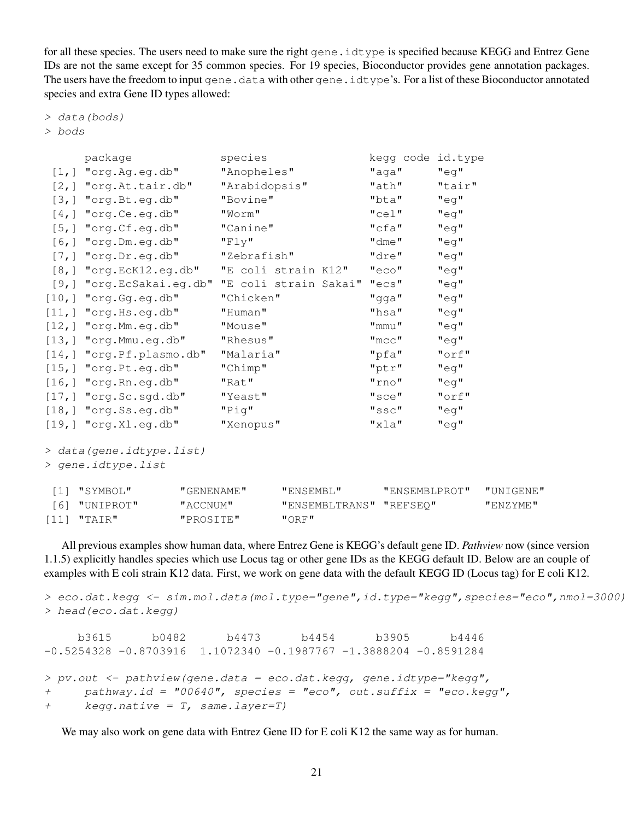for all these species. The users need to make sure the right gene. idtype is specified because KEGG and Entrez Gene IDs are not the same except for 35 common species. For 19 species, Bioconductor provides gene annotation packages. The users have the freedom to input gene.data with other gene.idtype's. For a list of these Bioconductor annotated species and extra Gene ID types allowed:

> data(bods)

> bods

|                   | package                                         |            | species             |           |  | kegg code id.type       |          |           |
|-------------------|-------------------------------------------------|------------|---------------------|-----------|--|-------------------------|----------|-----------|
|                   | $[1,]$ "org. Ag. eg. db"                        |            | "Anopheles"         |           |  | "aga"                   | "eq"     |           |
|                   | $[2,]$ "org. At. tair. db"                      |            | "Arabidopsis"       |           |  | "ath"                   | "tair"   |           |
|                   | $[3,]$ "org. Bt.eg.db"                          |            | "Bovine"            |           |  | "bta"                   | "eq"     |           |
|                   | $[4,]$ "org. Ce. eg. db"                        |            | "Worm"              |           |  | $"$ cel $"$             | $"$ eg"  |           |
|                   | $[5,]$ "org. $Cf.$ eg. $db$ "                   |            | "Canine"            |           |  | $"$ cfa $"$             | $"$ eg"  |           |
|                   | $[6,]$ "org. Dm. eg. db"                        |            | "Fly"               |           |  | "dme"                   | "eq"     |           |
|                   | $[7,]$ "org. Dr. eg. db"                        |            | "Zebrafish"         |           |  | "dre"                   | "eg"     |           |
|                   | $[8,]$ "org. EcK12.eg.db"                       |            | "E coli strain K12" |           |  | "eco"                   | "eg"     |           |
|                   | [9,] "org.EcSakai.eg.db" "E coli strain Sakai"  |            |                     |           |  | "ecs"                   | $"$ eg"  |           |
|                   | $[10,]$ "org.Gg.eg.db"                          |            | "Chicken"           |           |  | "gga"                   | $"$ eg"  |           |
|                   | $[11,]$ "org. Hs.eg.db"                         |            | "Human"             |           |  | "hsa"                   | "eq"     |           |
|                   | $[12,]$ "org. Mm.eg.db"                         |            | "Mouse"             |           |  | "mmu"                   | "eg"     |           |
|                   | $[13,]$ "org. Mmu.eg.db"                        |            | "Rhesus"            |           |  | $"$ mcc $"$             | $"$ eg"  |           |
|                   | $[14,]$ "org. Pf. plasmo.db"                    |            | "Malaria"           |           |  | "pfa"                   | $"$ orf" |           |
|                   | $[15,]$ "org. Pt.eg.db"                         |            | "Chimp"             |           |  | "ptr"                   | $"$ eg"  |           |
|                   | $[16,]$ "org. Rn. eg. db"                       |            | "Rat"               |           |  | "rno"                   | "eq"     |           |
|                   | $[17,]$ "org. Sc. sgd. db"                      |            | "Yeast"             |           |  | "sce"                   | $"$ orf" |           |
|                   | $[18,]$ "org. Ss.eg.db"                         |            | "Pig"               |           |  | "ssc"                   | "eq"     |           |
|                   | $[19,]$ "org.Xl.eg.db"                          |            | "Xenopus"           |           |  | $"x$ la"                | $"$ eg"  |           |
|                   | > data (gene.idtype.list)<br>> gene.idtype.list |            |                     |           |  |                         |          |           |
| $\lceil 1 \rceil$ | "SYMBOL"                                        | "GENENAME" |                     | "ENSEMBL" |  | "ENSEMBLPROT"           |          | "UNIGENE" |
| $61$              | "UNIPROT"                                       | "ACCNUM"   |                     |           |  | "ENSEMBLTRANS" "REFSEQ" |          | "ENZYME"  |
| [11]              | "TAIR"                                          | "PROSITE"  |                     | "ORF"     |  |                         |          |           |

All previous examples show human data, where Entrez Gene is KEGG's default gene ID. *Pathview* now (since version 1.1.5) explicitly handles species which use Locus tag or other gene IDs as the KEGG default ID. Below are an couple of examples with E coli strain K12 data. First, we work on gene data with the default KEGG ID (Locus tag) for E coli K12.

```
> eco.dat.kegg <- sim.mol.data(mol.type="gene",id.type="kegg",species="eco",nmol=3000)
> head(eco.dat.kegg)
    b3615 b0482 b4473 b4454 b3905 b4446
-0.5254328 -0.8703916 1.1072340 -0.1987767 -1.3888204 -0.8591284> pv.out < -pathview(gene.data = eco.data.kegg, gene.idtype="key",+ pathway.id = "00640", species = "eco", out.suffix = "eco.keqq",
+ kegg.native = T, same.layer=T)
```
We may also work on gene data with Entrez Gene ID for E coli K12 the same way as for human.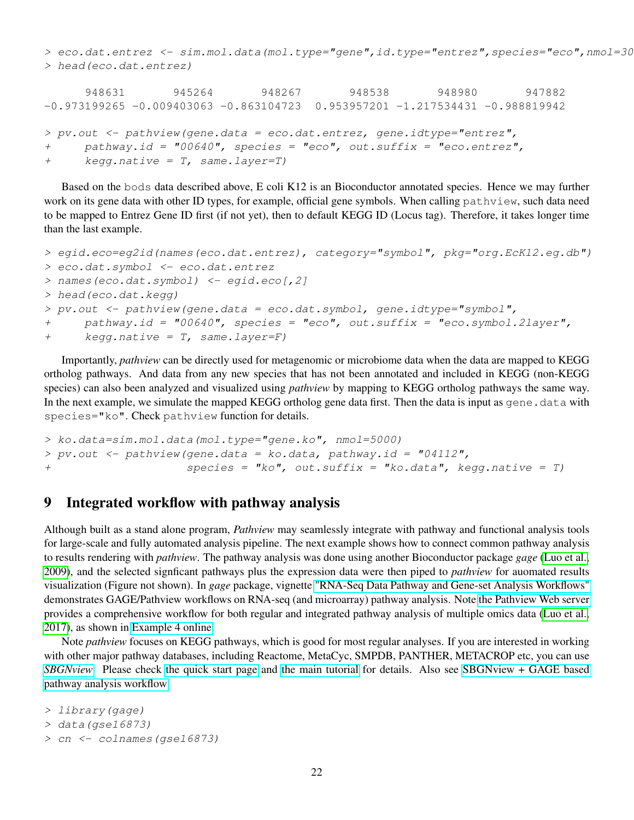> eco.dat.entrez <- sim.mol.data(mol.type="gene",id.type="entrez",species="eco",nmol=30 > head(eco.dat.entrez)

```
948631 945264 948267 948538 948980 947882
-0.973199265 -0.009403063 -0.863104723 0.953957201 -1.217534431 -0.988819942> pv.out < -pathview(qene.data = eco.dat.net, gene.idtype="enterz",+ pathway.id = "00640", species = "eco", out.suffix = "eco.entrez",
+ kegg.native = T, same.layer=T)
```
Based on the bods data described above, E coli K12 is an Bioconductor annotated species. Hence we may further work on its gene data with other ID types, for example, official gene symbols. When calling pathview, such data need to be mapped to Entrez Gene ID first (if not yet), then to default KEGG ID (Locus tag). Therefore, it takes longer time than the last example.

```
> egid.eco=eg2id(names(eco.dat.entrez), category="symbol", pkg="org.EcK12.eg.db")
> eco.dat.symbol <- eco.dat.entrez
> names(eco.dat.symbol) <- egid.eco[,2]
> head(eco.dat.kegg)
> pv.out < -pathview(qene.data = eco.dat.symbol, gene.idtype="symbol",+ pathway.id = "00640", species = "eco", out.suffix = "eco.symbol.2layer",
+ keqq.native = T, same. layer=F)
```
Importantly, *pathview* can be directly used for metagenomic or microbiome data when the data are mapped to KEGG ortholog pathways. And data from any new species that has not been annotated and included in KEGG (non-KEGG species) can also been analyzed and visualized using *pathview* by mapping to KEGG ortholog pathways the same way. In the next example, we simulate the mapped KEGG ortholog gene data first. Then the data is input as gene.data with species="ko". Check pathview function for details.

```
> ko.data=sim.mol.data(mol.type="gene.ko", nmol=5000)
> pv.out \leq pathview(gene.data = ko.data, pathway.id = "04112",
+ species = "ko", out.suffix = "ko.data", kegg.native = T)
```
## <span id="page-21-0"></span>9 Integrated workflow with pathway analysis

Although built as a stand alone program, *Pathview* may seamlessly integrate with pathway and functional analysis tools for large-scale and fully automated analysis pipeline. The next example shows how to connect common pathway analysis to results rendering with *pathview*. The pathway analysis was done using another Bioconductor package *gage* [\(Luo et al.,](#page-22-1) [2009\)](#page-22-1), and the selected signficant pathways plus the expression data were then piped to *pathview* for auomated results visualization (Figure not shown). In *gage* package, vignette ["RNA-Seq Data Pathway and Gene-set Analysis Workflows"](http://bioconductor.org/packages/release/bioc/vignettes/gage/inst/doc/RNA-seqWorkflow.pdf) demonstrates GAGE/Pathview workflows on RNA-seq (and microarray) pathway analysis. Note [the Pathview Web server](https://pathview.uncc.edu/) provides a comprehensive workflow for both regular and integrated pathway analysis of multiple omics data [\(Luo et al.,](#page-23-0) [2017\)](#page-23-0), as shown in [Example 4 online.](https://pathview.uncc.edu/example4)

Note *pathview* focuses on KEGG pathways, which is good for most regular analyses. If you are interested in working with other major pathway databases, including Reactome, MetaCyc, SMPDB, PANTHER, METACROP etc, you can use *[SBGNview](https://github.com/datapplab/SBGNview)*. Please check [the quick start page](https://github.com/datapplab/SBGNview) and [the main tutorial](https://bioconductor.org/packages/devel/bioc/vignettes/SBGNview/inst/doc/SBGNview.Vignette.html) for details. Also see [SBGNview + GAGE based](https://bioconductor.org/packages/devel/bioc/vignettes/SBGNview/inst/doc/pathway.enrichment.analysis.html) [pathway analysis workflow.](https://bioconductor.org/packages/devel/bioc/vignettes/SBGNview/inst/doc/pathway.enrichment.analysis.html)

```
> library(gage)
```

```
> data(qse16873)
```

```
> cn <- colnames(gse16873)
```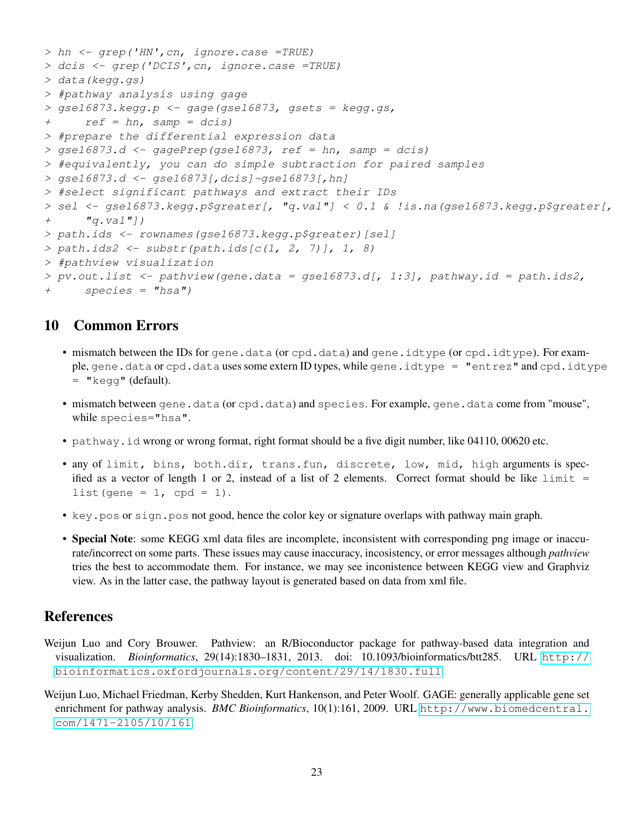```
> hn <- grep('HN',cn, ignore.case =TRUE)
> dcis <- grep('DCIS',cn, ignore.case =TRUE)
> data(kegg.gs)
> #pathway analysis using gage
> gse16873. kegg.p <- gage(gse16873, gsets = kegg.gs,
+ ref = hn, samp = dcis)> #prepare the differential expression data
> gse16873.d \leq gagePrep(gse16873, ref = hn, samp = dcis)
> #equivalently, you can do simple subtraction for paired samples
> gse16873.d <- gse16873[,dcis]-gse16873[,hn]
> #select significant pathways and extract their IDs
> sel <- gse16873.kegg.p$greater[, "q.val"] < 0.1 & !is.na(gse16873.kegg.p$greater[,
+ "q.val"])
> path.ids <- rownames(gse16873.kegg.p$greater)[sel]
> path.ids2 <- substr(path.ids[c(1, 2, 7)], 1, 8)
> #pathview visualization
> pv.out. list <- pathview(gene.data = qse16873.d[, 1:3], pathway.id = path.ids2,
+ species = "hsa")
```
## 10 Common Errors

- mismatch between the IDs for gene.data (or cpd.data) and gene.idtype (or cpd.idtype). For example, gene.data or cpd.data uses some extern ID types, while gene.idtype = "entrez" and cpd.idtype  $=$  " $k$ egg" (default).
- mismatch between gene.data (or cpd.data) and species. For example, gene.data come from "mouse", while species="hsa".
- pathway.id wrong or wrong format, right format should be a five digit number, like 04110, 00620 etc.
- any of limit, bins, both.dir, trans.fun, discrete, low, mid, high arguments is specified as a vector of length 1 or 2, instead of a list of 2 elements. Correct format should be like  $\text{limit}$  = list(gene =  $1$ , cpd =  $1$ ).
- key.pos or sign.pos not good, hence the color key or signature overlaps with pathway main graph.
- Special Note: some KEGG xml data files are incomplete, inconsistent with corresponding png image or inaccurate/incorrect on some parts. These issues may cause inaccuracy, incosistency, or error messages although *pathview* tries the best to accommodate them. For instance, we may see inconistence between KEGG view and Graphviz view. As in the latter case, the pathway layout is generated based on data from xml file.

## References

- <span id="page-22-0"></span>Weijun Luo and Cory Brouwer. Pathview: an R/Bioconductor package for pathway-based data integration and visualization. *Bioinformatics*, 29(14):1830–1831, 2013. doi: 10.1093/bioinformatics/btt285. URL [http://](http://bioinformatics.oxfordjournals.org/content/29/14/1830.full) [bioinformatics.oxfordjournals.org/content/29/14/1830.full](http://bioinformatics.oxfordjournals.org/content/29/14/1830.full).
- <span id="page-22-1"></span>Weijun Luo, Michael Friedman, Kerby Shedden, Kurt Hankenson, and Peter Woolf. GAGE: generally applicable gene set enrichment for pathway analysis. *BMC Bioinformatics*, 10(1):161, 2009. URL [http://www.biomedcentral.](http://www.biomedcentral.com/1471-2105/10/161) [com/1471-2105/10/161](http://www.biomedcentral.com/1471-2105/10/161).